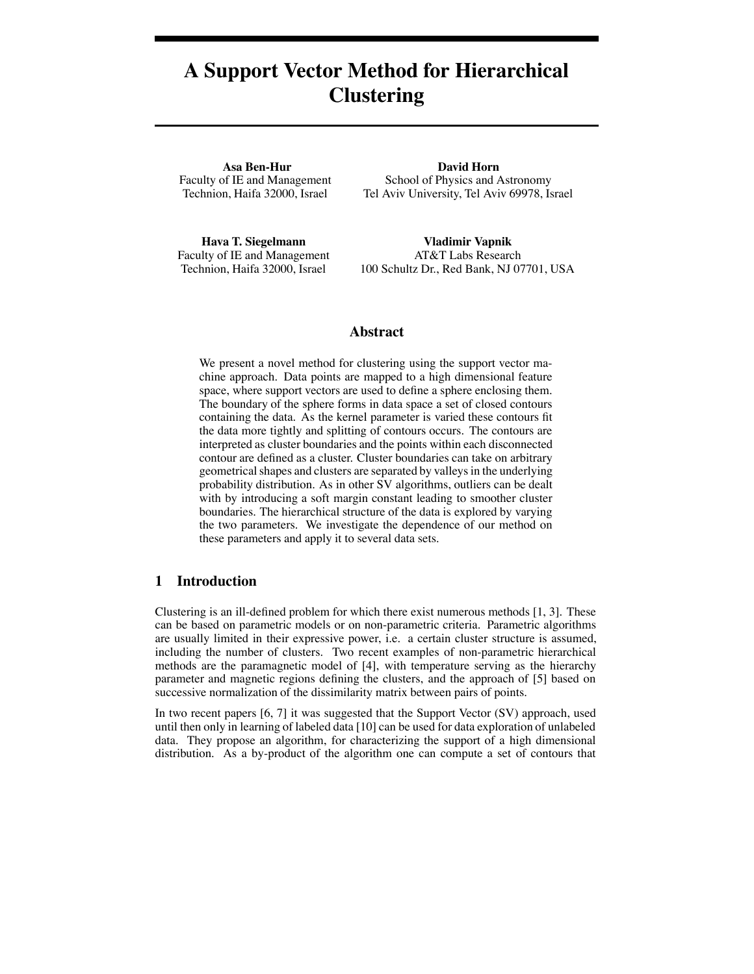# **A Support Vector Method for Hierarchical Clustering**

**Asa Ben-Hur** Faculty of IE and Management Technion, Haifa 32000, Israel

**David Horn**

School of Physics and Astronomy Tel Aviv University, Tel Aviv 69978, Israel

**Hava T. Siegelmann** Faculty of IE and Management Technion, Haifa 32000, Israel

**Vladimir Vapnik** AT&T Labs Research 100 Schultz Dr., Red Bank, NJ 07701, USA

# **Abstract**

We present a novel method for clustering using the support vector machine approach. Data points are mapped to a high dimensional feature space, where support vectors are used to define a sphere enclosing them. The boundary of the sphere forms in data space a set of closed contours containing the data. As the kernel parameter is varied these contours fit the data more tightly and splitting of contours occurs. The contours are interpreted as cluster boundaries and the points within each disconnected contour are defined as a cluster. Cluster boundaries can take on arbitrary geometrical shapes and clusters are separated by valleys in the underlying probability distribution. As in other SV algorithms, outliers can be dealt with by introducing a soft margin constant leading to smoother cluster boundaries. The hierarchical structure of the data is explored by varying the two parameters. We investigate the dependence of our method on these parameters and apply it to several data sets.

# **1 Introduction**

Clustering is an ill-defined problem for which there exist numerous methods [1, 3]. These can be based on parametric models or on non-parametric criteria. Parametric algorithms are usually limited in their expressive power, i.e. a certain cluster structure is assumed, including the number of clusters. Two recent examples of non-parametric hierarchical methods are the paramagnetic model of [4], with temperature serving as the hierarchy parameter and magnetic regions defining the clusters, and the approach of [5] based on successive normalization of the dissimilarity matrix between pairs of points.

In two recent papers [6, 7] it was suggested that the Support Vector (SV) approach, used until then only in learning of labeled data [10] can be used for data exploration of unlabeled data. They propose an algorithm, for characterizing the support of a high dimensional distribution. As a by-product of the algorithm one can compute a set of contours that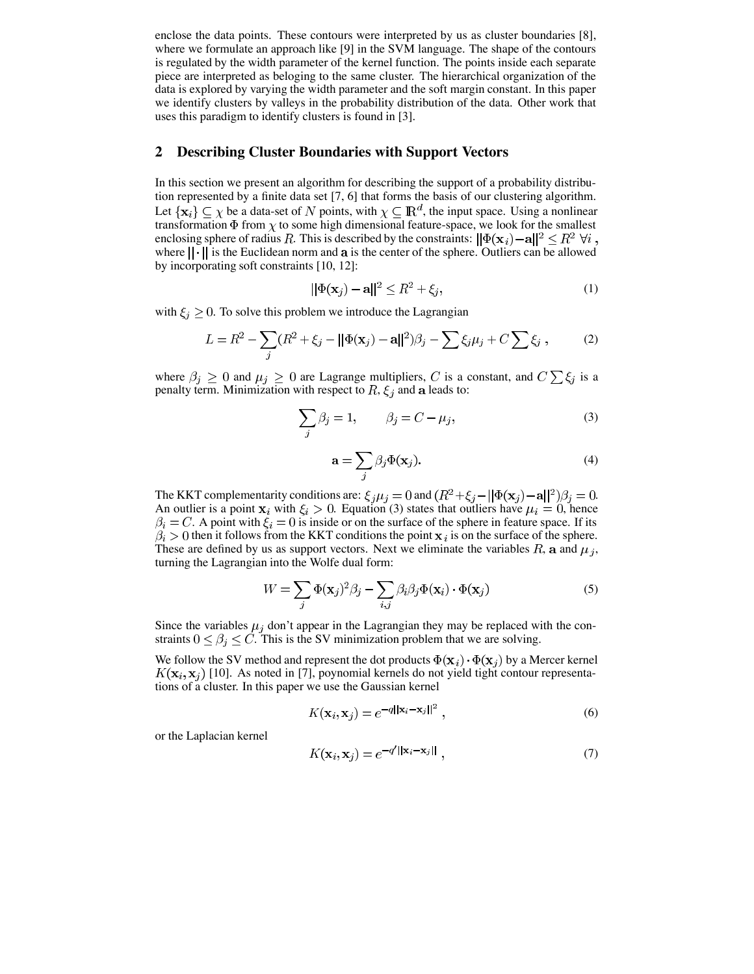enclose the data points. These contours were interpreted by us as cluster boundaries [8], where we formulate an approach like [9] in the SVM language. The shape of the contours is regulated by the width parameter of the kernel function. The points inside each separate piece are interpreted as beloging to the same cluster. The hierarchical organization of the data is explored by varying the width parameter and the soft margin constant. In this paper we identify clusters by valleys in the probability distribution of the data. Other work that uses this paradigm to identify clusters is found in [3].

## **2 Describing Cluster Boundaries with Support Vectors**

In this section we present an algorithm for describing the support of a probability distribution represented by a finite data set [7, 6] that forms the basis of our clustering algorithm. Let  $\{x_i\} \subseteq \chi$  be a data-set of N points, with  $\chi \subseteq \mathbb{R}^d$ , the input space. Using a nonlinear transformation  $\Phi$  from  $\chi$  to some high dimensional feature-space, we look for the smallest enclosing sphere of radius R. This is described by the constraints:  $||\Phi(\mathbf{x}_i) - \mathbf{a}||^2 \leq R^2 \ \forall i$ , where  $\|\cdot\|$  is the Euclidean norm and a is the center of the sphere. Outliers can be allowed by incorporating soft constraints [10, 12]:

$$
\|\Phi(\mathbf{x}_j) - \mathbf{a}\|^2 \le R^2 + \xi_j,\tag{1}
$$

with  $\xi_i \geq 0$ . To solve this problem we introduce the Lagrangian

$$
L = R^{2} - \sum_{j} (R^{2} + \xi_{j} - ||\Phi(\mathbf{x}_{j}) - \mathbf{a}||^{2})\beta_{j} - \sum_{j} \xi_{j} \mu_{j} + C \sum_{j} \xi_{j} , \qquad (2)
$$

where  $\beta_j \geq 0$  and  $\mu_j \geq 0$  are Lagrange multipliers, C is a constant, and  $C \sum_i \xi_j$  is a penalty term. Minimization with respect to  $R, \xi_j$  and a leads to:

$$
\sum_{j} \beta_j = 1, \qquad \beta_j = C - \mu_j,\tag{3}
$$

$$
\mathbf{a} = \sum_{j} \beta_j \Phi(\mathbf{x}_j). \tag{4}
$$

The KKT complementarity conditions are:  $\xi_j \mu_j = 0$  and  $(R^2 + \xi_j - ||\Phi(\mathbf{x}_j) - \mathbf{a}||^2)\beta_j = 0$ . An outlier is a point  $\mathbf{x}_i$  with  $\xi_i > 0$ . Equation (3) states that outliers have  $\mu_i = 0$ , hence  $\beta_i = C$ . A point with  $\xi_i = 0$  is inside or on the surface of the sphere in feature space. If its  $\beta_i > 0$  then it follows from the KKT conditions the point  $x_i$  is on the surface of the sphere. These are defined by us as support vectors. Next we eliminate the variables R, a and  $\mu_i$ , turning the Lagrangian into the Wolfe dual form:

$$
W = \sum_{j} \Phi(\mathbf{x}_{j})^{2} \beta_{j} - \sum_{i,j} \beta_{i} \beta_{j} \Phi(\mathbf{x}_{i}) \cdot \Phi(\mathbf{x}_{j})
$$
(5)

Since the variables  $\mu_i$  don't appear in the Lagrangian they may be replaced with the constraints  $0 \le \beta_j \le C$ . This is the SV minimization problem that we are solving.

We follow the SV method and represent the dot products  $\Phi(\mathbf{x}_i) \cdot \Phi(\mathbf{x}_j)$  by a Mercer kernel  $K(\mathbf{x}_i, \mathbf{x}_j)$  [10]. As noted in [7], poynomial kernels do not yield tight contour representations of a cluster. In this paper we use the Gaussian kernel

$$
K(\mathbf{x}_i, \mathbf{x}_j) = e^{-q||\mathbf{x}_i - \mathbf{x}_j||^2},\tag{6}
$$

or the Laplacian kernel

$$
K(\mathbf{x}_i, \mathbf{x}_j) = e^{-q' ||\mathbf{x}_i - \mathbf{x}_j||}, \qquad (7)
$$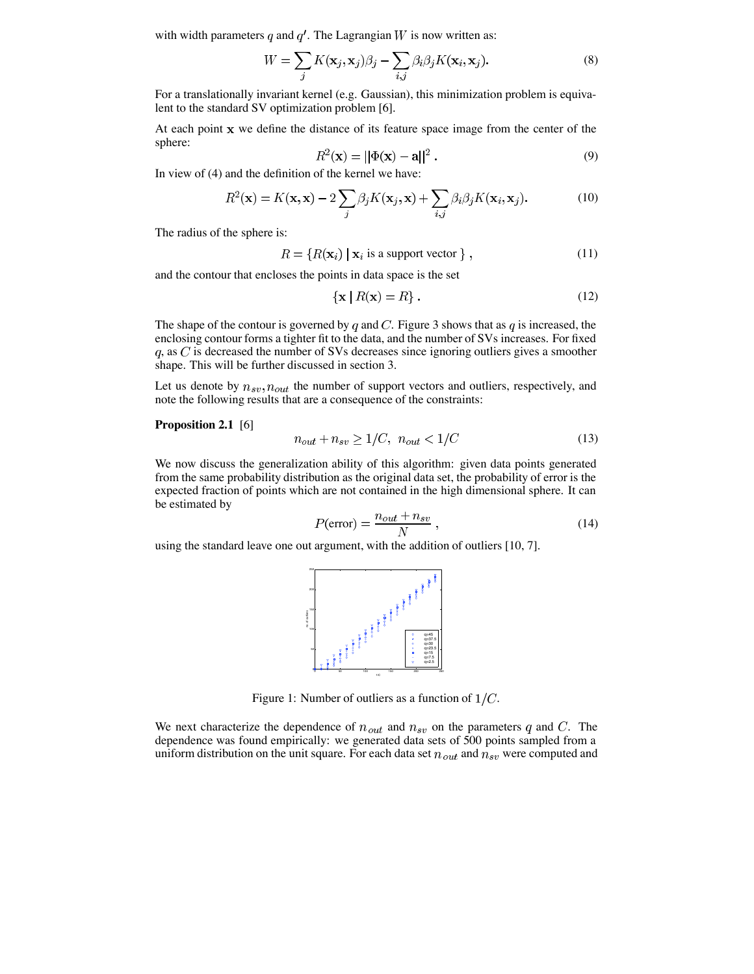with width parameters q and  $q'$ . The Lagrangian W is now written as:

$$
W = \sum_{j} K(\mathbf{x}_{j}, \mathbf{x}_{j}) \beta_{j} - \sum_{i,j} \beta_{i} \beta_{j} K(\mathbf{x}_{i}, \mathbf{x}_{j}).
$$
\n(8)

For a translationally invariant kernel (e.g. Gaussian), this minimization problem is equivalent to the standard SV optimization problem [6].

At each point  $x$  we define the distance of its feature space image from the center of the sphere:

$$
R^2(\mathbf{x}) = ||\Phi(\mathbf{x}) - \mathbf{a}||^2. \tag{9}
$$

In view of (4) and the definition of the kernel we have:

$$
R^{2}(\mathbf{x}) = K(\mathbf{x}, \mathbf{x}) - 2\sum_{j} \beta_{j} K(\mathbf{x}_{j}, \mathbf{x}) + \sum_{i,j} \beta_{i} \beta_{j} K(\mathbf{x}_{i}, \mathbf{x}_{j}).
$$
 (10)

The radius of the sphere is:

$$
R = \{R(\mathbf{x}_i) \mid \mathbf{x}_i \text{ is a support vector }\},\tag{11}
$$

and the contour that encloses the points in data space is the set

$$
\{ \mathbf{x} \mid R(\mathbf{x}) = R \}. \tag{12}
$$

The shape of the contour is governed by q and C. Figure 3 shows that as q is increased, the enclosing contour forms a tighter fit to the data, and the number of SVs increases. For fixed  $q$ , as  $C$  is decreased the number of SVs decreases since ignoring outliers gives a smoother shape. This will be further discussed in section 3.

Let us denote by  $n_{sv}, n_{out}$  the number of support vectors and outliers, respectively, and note the following results that are a consequence of the constraints:

## **Proposition 2.1** [6]

$$
n_{out} + n_{sv} \ge 1/C, \ n_{out} < 1/C \tag{13}
$$

We now discuss the generalization ability of this algorithm: given data points generated from the same probability distribution as the original data set, the probability of error is the expected fraction of points which are not contained in the high dimensional sphere. It can be estimated by

$$
P(\text{error}) = \frac{n_{out} + n_{sv}}{N} \,,\tag{14}
$$

using the standard leave one out argument, with the addition of outliers [10, 7].



Figure 1: Number of outliers as a function of  $1/C$ .

We next characterize the dependence of  $n_{out}$  and  $n_{sv}$  on the parameters q and C. The dependence was found empirically: we generated data sets of 500 points sampled from a uniform distribution on the unit square. For each data set  $n_{out}$  and  $n_{sv}$  were computed and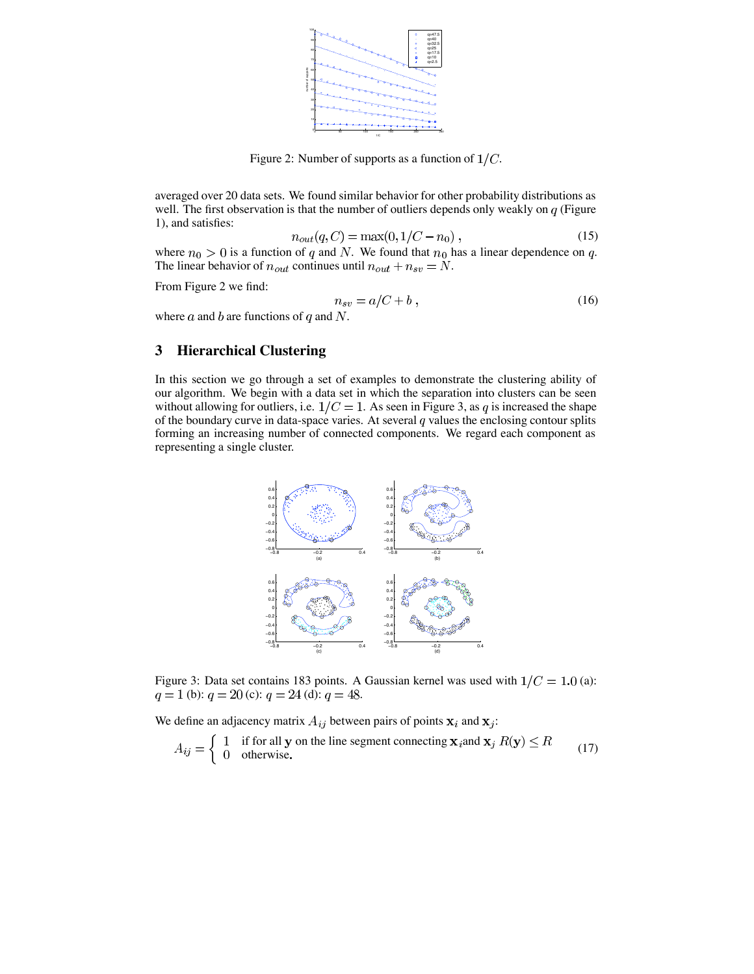

Figure 2: Number of supports as a function of  $1/C$ .

averaged over 20 data sets. We found similar behavior for other probability distributions as well. The first observation is that the number of outliers depends only weakly on  $q$  (Figure 1), and satisfies:

$$
n_{out}(q, C) = \max(0, 1/C - n_0), \qquad (15)
$$

where  $n_0 > 0$  is a function of q and N. We found that  $n_0$  has a linear dependence on q. The linear behavior of  $n_{out}$  continues until  $n_{out} + n_{sv} = N$ .

From Figure 2 we find:

$$
n_{sv} = a/C + b \,, \tag{16}
$$

where  $a$  and  $b$  are functions of  $q$  and  $N$ .

# **3 Hierarchical Clustering**

In this section we go through a set of examples to demonstrate the clustering ability of our algorithm. We begin with a data set in which the separation into clusters can be seen without allowing for outliers, i.e.  $1/C = 1$ . As seen in Figure 3, as q is increased the shape of the boundary curve in data-space varies. At several  $q$  values the enclosing contour splits forming an increasing number of connected components. We regard each component as representing a single cluster.



Figure 3: Data set contains 183 points. A Gaussian kernel was used with  $1/C = 1.0$  (a):  $q = 1$  (b):  $q = 20$  (c):  $q = 24$  (d):  $q = 48$ .

We define an adjacency matrix  $A_{ij}$  between pairs of points  $x_i$  and  $x_j$ :

$$
A_{ij} = \begin{cases} 1 & \text{if for all } y \text{ on the line segment connecting } x_i \text{ and } x_j \ R(y) \le R \\ 0 & \text{otherwise.} \end{cases}
$$
 (17)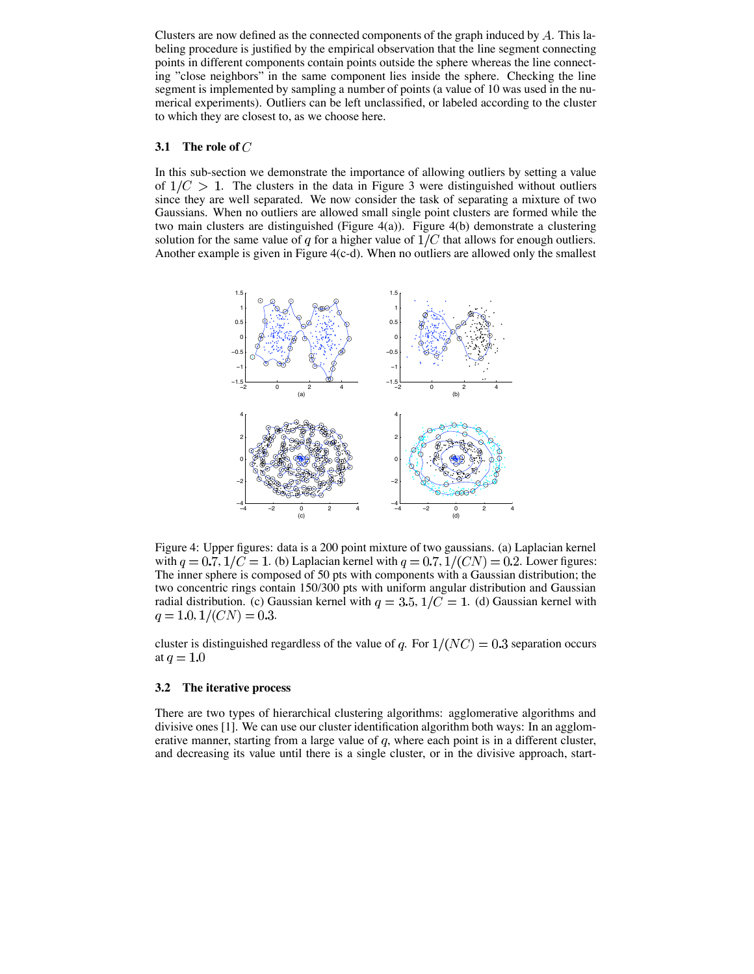Clusters are now defined as the connected components of the graph induced by  $A$ . This labeling procedure is justified by the empirical observation that the line segment connecting points in different components contain points outside the sphere whereas the line connecting "close neighbors" in the same component lies inside the sphere. Checking the line segment is implemented by sampling a number of points (a value of 10 was used in the numerical experiments). Outliers can be left unclassified, or labeled according to the cluster to which they are closest to, as we choose here.

#### **3.1 The role of**

In this sub-section we demonstrate the importance of allowing outliers by setting a value of  $1/C > 1$ . The clusters in the data in Figure 3 were distinguished without outliers since they are well separated. We now consider the task of separating a mixture of two Gaussians. When no outliers are allowed small single point clusters are formed while the two main clusters are distinguished (Figure 4(a)). Figure 4(b) demonstrate a clustering solution for the same value of q for a higher value of  $1/C$  that allows for enough outliers. Another example is given in Figure 4(c-d). When no outliers are allowed only the smallest



Figure 4: Upper figures: data is a 200 point mixture of two gaussians. (a) Laplacian kernel with  $q = 0.7, 1/C = 1$ . (b) Laplacian kernel with  $q = 0.7, 1/(CN) = 0.2$ . Lower figures: The inner sphere is composed of 50 pts with components with a Gaussian distribution; the two concentric rings contain 150/300 pts with uniform angular distribution and Gaussian radial distribution. (c) Gaussian kernel with  $q = 3.5, 1/C = 1$ . (d) Gaussian kernel with  $q = 1.0, 1/(CN) = 0.3.$ 

cluster is distinguished regardless of the value of q. For  $1/(NC) = 0.3$  separation occurs at  $q = 1.0$ 

## **3.2 The iterative process**

There are two types of hierarchical clustering algorithms: agglomerative algorithms and divisive ones [1]. We can use our cluster identification algorithm both ways: In an agglomerative manner, starting from a large value of  $q$ , where each point is in a different cluster, and decreasing its value until there is a single cluster, or in the divisive approach, start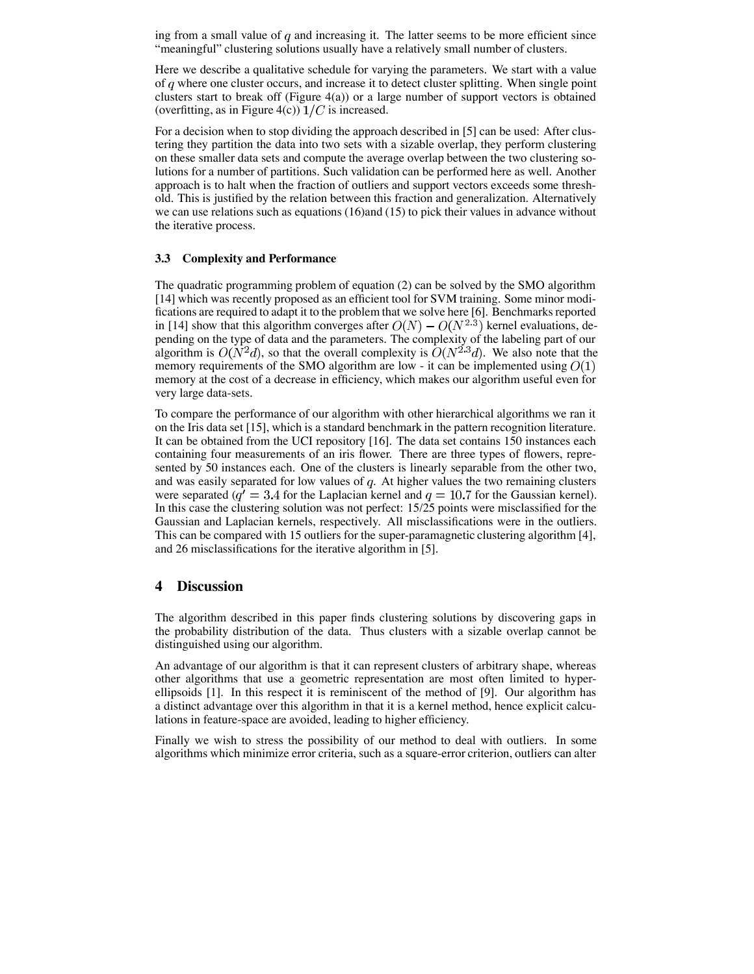ing from a small value of  $q$  and increasing it. The latter seems to be more efficient since "meaningful" clustering solutions usually have a relatively small number of clusters.

Here we describe a qualitative schedule for varying the parameters. We start with a value of  $q$  where one cluster occurs, and increase it to detect cluster splitting. When single point clusters start to break off (Figure  $4(a)$ ) or a large number of support vectors is obtained (overfitting, as in Figure 4(c))  $1/C$  is increased.

For a decision when to stop dividing the approach described in [5] can be used: After clustering they partition the data into two sets with a sizable overlap, they perform clustering on these smaller data sets and compute the average overlap between the two clustering solutions for a number of partitions. Such validation can be performed here as well. Another approach is to halt when the fraction of outliers and support vectors exceeds some threshold. This is justified by the relation between this fraction and generalization. Alternatively we can use relations such as equations (16)and (15) to pick their values in advance without the iterative process.

#### **3.3 Complexity and Performance**

The quadratic programming problem of equation (2) can be solved by the SMO algorithm [14] which was recently proposed as an efficient tool for SVM training. Some minor modifications are required to adapt it to the problem that we solve here  $[6]$ . Benchmarks reported in [14] show that this algorithm converges after  $O(N) - O(N^{2.3})$  kernel evaluations, depending on the type of data and the parameters. The complexity of the labeling part of our algorithm is  $O(N^2d)$ , so that the overall complexity is  $O(N^{2.3}d)$ . We also note that the memory requirements of the SMO algorithm are low - it can be implemented using  $O(1)$ memory at the cost of a decrease in efficiency, which makes our algorithm useful even for very large data-sets.

To compare the performance of our algorithm with other hierarchical algorithms we ran it on the Iris data set [15], which is a standard benchmark in the pattern recognition literature. It can be obtained from the UCI repository [16]. The data set contains 150 instances each containing four measurements of an iris flower. There are three types of flowers, represented by 50 instances each. One of the clusters is linearly separable from the other two, and was easily separated for low values of  $q$ . At higher values the two remaining clusters were separated ( $q' = 3.4$  for the Laplacian kernel and  $q = 10.7$  for the Gaussian kernel). In this case the clustering solution was not perfect: 15/25 points were misclassified for the Gaussian and Laplacian kernels, respectively. All misclassifications were in the outliers. This can be compared with 15 outliers for the super-paramagnetic clustering algorithm [4], and 26 misclassifications for the iterative algorithm in [5].

## **4 Discussion**

The algorithm described in this paper finds clustering solutions by discovering gaps in the probability distribution of the data. Thus clusters with a sizable overlap cannot be distinguished using our algorithm.

An advantage of our algorithm is that it can represent clusters of arbitrary shape, whereas other algorithms that use a geometric representation are most often limited to hyperellipsoids [1]. In this respect it is reminiscent of the method of [9]. Our algorithm has a distinct advantage over this algorithm in that it is a kernel method, hence explicit calculations in feature-space are avoided, leading to higher efficiency.

Finally we wish to stress the possibility of our method to deal with outliers. In some algorithms which minimize error criteria, such as a square-error criterion, outliers can alter